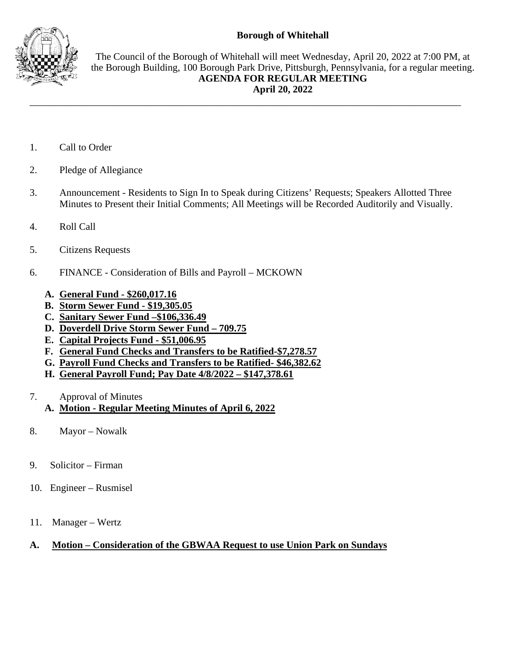## **Borough of Whitehall**



The Council of the Borough of Whitehall will meet Wednesday, April 20, 2022 at 7:00 PM, at the Borough Building, 100 Borough Park Drive, Pittsburgh, Pennsylvania, for a regular meeting. **AGENDA FOR REGULAR MEETING April 20, 2022**

- 1. Call to Order
- 2. Pledge of Allegiance
- 3. Announcement Residents to Sign In to Speak during Citizens' Requests; Speakers Allotted Three Minutes to Present their Initial Comments; All Meetings will be Recorded Auditorily and Visually.

\_\_\_\_\_\_\_\_\_\_\_\_\_\_\_\_\_\_\_\_\_\_\_\_\_\_\_\_\_\_\_\_\_\_\_\_\_\_\_\_\_\_\_\_\_\_\_\_\_\_\_\_\_\_\_\_\_\_\_\_\_\_\_\_\_\_\_\_\_\_\_\_\_\_\_\_\_\_\_\_\_\_\_\_\_\_\_

- 4. Roll Call
- 5. Citizens Requests
- 6. FINANCE Consideration of Bills and Payroll MCKOWN
	- **A. General Fund - \$260,017.16**
	- **B. Storm Sewer Fund - \$19,305.05**
	- **C. Sanitary Sewer Fund –\$106,336.49**
	- **D. Doverdell Drive Storm Sewer Fund – 709.75**
	- **E. Capital Projects Fund - \$51,006.95**
	- **F. General Fund Checks and Transfers to be Ratified-\$7,278.57**
	- **G. Payroll Fund Checks and Transfers to be Ratified- \$46,382.62**
	- **H. General Payroll Fund; Pay Date 4/8/2022 – \$147,378.61**
- 7. Approval of Minutes
	- **A. Motion - Regular Meeting Minutes of April 6, 2022**
- 8. Mayor Nowalk
- 9. Solicitor Firman
- 10. Engineer Rusmisel
- 11. Manager Wertz

## **A. Motion – Consideration of the GBWAA Request to use Union Park on Sundays**